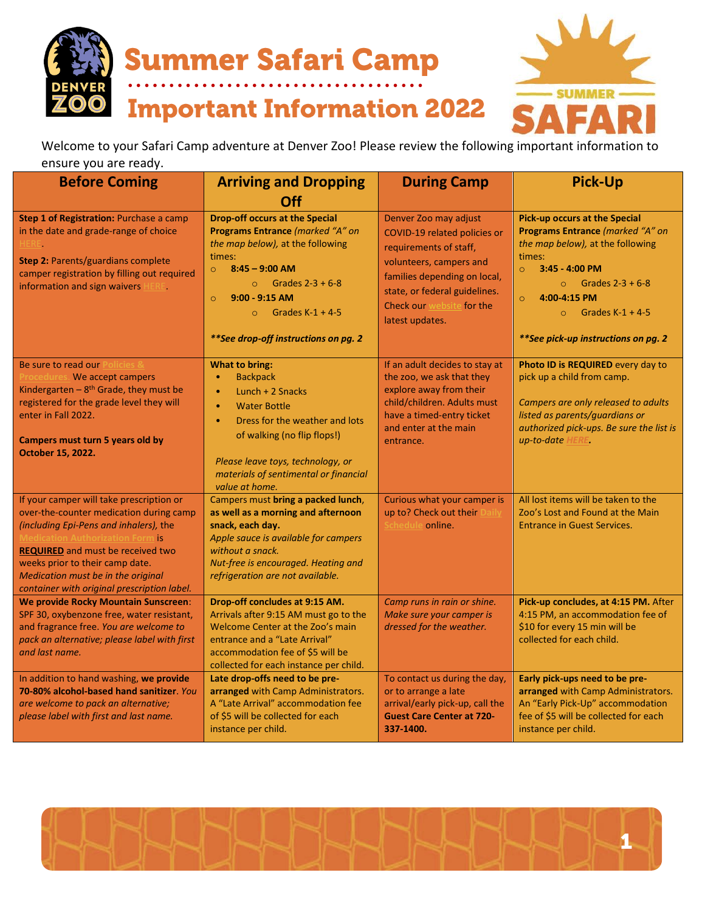

**Summer Safari Camp** 

**Important Information 2022** 



Welcome to your Safari Camp adventure at Denver Zoo! Please review the following important information to ensure you are ready.

| <b>Before Coming</b>                                                                                                                                                                                                                                                                                                                         | <b>Arriving and Dropping</b>                                                                                                                                                                                                                                                                        | <b>During Camp</b>                                                                                                                                                                                                          | <b>Pick-Up</b>                                                                                                                                                                                                                                                                       |
|----------------------------------------------------------------------------------------------------------------------------------------------------------------------------------------------------------------------------------------------------------------------------------------------------------------------------------------------|-----------------------------------------------------------------------------------------------------------------------------------------------------------------------------------------------------------------------------------------------------------------------------------------------------|-----------------------------------------------------------------------------------------------------------------------------------------------------------------------------------------------------------------------------|--------------------------------------------------------------------------------------------------------------------------------------------------------------------------------------------------------------------------------------------------------------------------------------|
| Step 1 of Registration: Purchase a camp<br>in the date and grade-range of choice<br>HERE.<br>Step 2: Parents/guardians complete<br>camper registration by filling out required<br>information and sign waivers HERE.                                                                                                                         | Off<br><b>Drop-off occurs at the Special</b><br>Programs Entrance (marked "A" on<br>the map below), at the following<br>times:<br>$8:45 - 9:00$ AM<br>$\circ$<br>$\circ$ Grades 2-3 + 6-8<br>$9:00 - 9:15$ AM<br>$\circ$<br>Grades $K-1 + 4-5$<br>$\Omega$<br>** See drop-off instructions on pg. 2 | Denver Zoo may adjust<br>COVID-19 related policies or<br>requirements of staff,<br>volunteers, campers and<br>families depending on local,<br>state, or federal guidelines.<br>Check our website for the<br>latest updates. | <b>Pick-up occurs at the Special</b><br>Programs Entrance (marked "A" on<br>the map below), at the following<br>times:<br>3:45 - 4:00 PM<br>$\circ$<br>$\circ$ Grades 2-3 + 6-8<br>4:00-4:15 PM<br>$\circ$<br>Grades $K-1 + 4-5$<br>$\Omega$<br>** See pick-up instructions on pg. 2 |
| Be sure to read our Policies &<br>Procedures. We accept campers<br>Kindergarten - $8th$ Grade, they must be<br>registered for the grade level they will<br>enter in Fall 2022.<br>Campers must turn 5 years old by<br>October 15, 2022.                                                                                                      | What to bring:<br><b>Backpack</b><br>Lunch $+2$ Snacks<br>$\bullet$<br><b>Water Bottle</b><br>$\bullet$<br>Dress for the weather and lots<br>$\bullet$<br>of walking (no flip flops!)<br>Please leave toys, technology, or<br>materials of sentimental or financial<br>value at home.               | If an adult decides to stay at<br>the zoo, we ask that they<br>explore away from their<br>child/children. Adults must<br>have a timed-entry ticket<br>and enter at the main<br>entrance.                                    | Photo ID is REQUIRED every day to<br>pick up a child from camp.<br>Campers are only released to adults<br>listed as parents/guardians or<br>authorized pick-ups. Be sure the list is<br>up-to-date HERE.                                                                             |
| If your camper will take prescription or<br>over-the-counter medication during camp<br>(including Epi-Pens and inhalers), the<br><b>Medication Authorization Form is</b><br><b>REQUIRED</b> and must be received two<br>weeks prior to their camp date.<br>Medication must be in the original<br>container with original prescription label. | Campers must bring a packed lunch,<br>as well as a morning and afternoon<br>snack, each day.<br>Apple sauce is available for campers<br>without a snack.<br>Nut-free is encouraged. Heating and<br>refrigeration are not available.                                                                 | Curious what your camper is<br>up to? Check out their Daily<br>Schedule online.                                                                                                                                             | All lost items will be taken to the<br>Zoo's Lost and Found at the Main<br><b>Entrance in Guest Services.</b>                                                                                                                                                                        |
| We provide Rocky Mountain Sunscreen:<br>SPF 30, oxybenzone free, water resistant,<br>and fragrance free. You are welcome to<br>pack an alternative; please label with first<br>and last name.                                                                                                                                                | Drop-off concludes at 9:15 AM.<br>Arrivals after 9:15 AM must go to the<br>Welcome Center at the Zoo's main<br>entrance and a "Late Arrival"<br>accommodation fee of \$5 will be<br>collected for each instance per child.                                                                          | Camp runs in rain or shine.<br>Make sure your camper is<br>dressed for the weather.                                                                                                                                         | Pick-up concludes, at 4:15 PM. After<br>4:15 PM, an accommodation fee of<br>\$10 for every 15 min will be<br>collected for each child.                                                                                                                                               |
| In addition to hand washing, we provide<br>70-80% alcohol-based hand sanitizer. You<br>are welcome to pack an alternative;<br>please label with first and last name.                                                                                                                                                                         | Late drop-offs need to be pre-<br>arranged with Camp Administrators.<br>A "Late Arrival" accommodation fee<br>of \$5 will be collected for each<br>instance per child.                                                                                                                              | To contact us during the day,<br>or to arrange a late<br>arrival/early pick-up, call the<br><b>Guest Care Center at 720-</b><br>337-1400.                                                                                   | Early pick-ups need to be pre-<br>arranged with Camp Administrators.<br>An "Early Pick-Up" accommodation<br>fee of \$5 will be collected for each<br>instance per child.                                                                                                             |